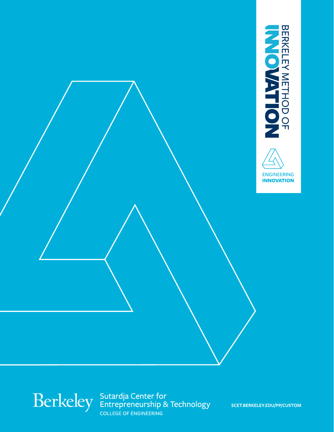



college of engineering Sutardja Center for Entrepreneurship & Technology [scet.berkeley.edu/pP/CUSTOM](https://scet.berkeley.edu/professional-programs/custom-programs/)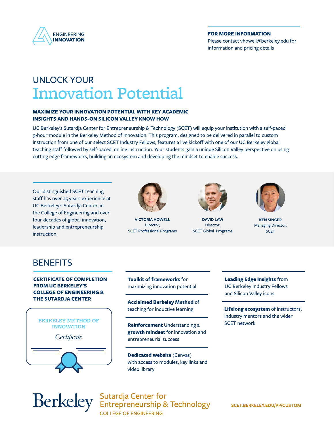

## For more information Please contact [vhowell@berkeley.edu](mailto:vhowell@berkeley.edu) for information and pricing details

# UNLOCK YOUR Innovation Potential

## maximize your Innovation potential with key academic insights and hands-on silicon valley know how

UC Berkeley's Sutardja Center for Entrepreneurship & Technology (SCET) will equip your institution with a self-paced 9-hour module in the Berkeley Method of Innovation. This program, designed to be delivered in parallel to custom instruction from one of our select SCET Industry Fellows, features a live kickoff with one of our UC Berkeley global teaching staff followed by self-paced, online instruction. Your students gain a unique Silicon Valley perspective on using cutting edge frameworks, building an ecosystem and developing the mindset to enable success.

Our distinguished SCET teaching staff has over 25 years experience at UC Berkeley's Sutardja Center, in the College of Engineering and over four decades of global innovation, leadership and entrepreneurship instruction.



Victoria Howell Director, SCET Professional Programs



DAVID LAW Director, SCET Global Programs



KEN SINGER Managing Director, **SCET** 

# **BENEFITS**

CERTIFICATE OF COMPLETION FROM UC BERKELEY'S college of engineering & the SUTARDJA CENTER





Toolkit of frameworks for maximizing innovation potential

Acclaimed Berkeley Method of teaching for inductive learning

Reinforcement Understanding a growth mindset for innovation and entrepreneurial success

Dedicated website (Canvas) with access to modules, key links and video library

Leading Edge Insights from UC Berkeley Industry Fellows and Silicon Valley icons

Lifelong ecosystem of instructors, industry mentors and the wider SCET network

college of engineering Berkeley Sutardja Center for<br>
Entrepreneurship & Technology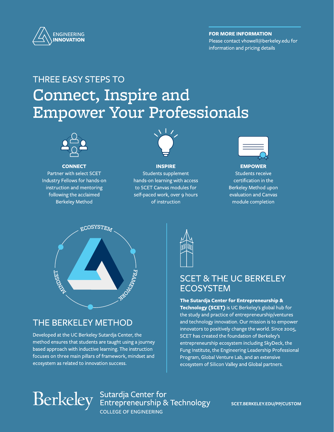

# For more information

Please contact [vhowell@berkeley.edu](mailto:vhowell@berkeley.edu) for information and pricing details

# Connect, Inspire and Empower Your Professionals THREE EASY STEPS to



**CONNECT** 

Partner with select SCET Industry Fellows for hands-on instruction and mentoring following the acclaimed Berkeley Method



# INSPIRE Students supplement hands-on learning with access to SCET Canvas modules for self-paced work, over 9 hours of instruction



EMPOWER Students receive certification in the Berkeley Method upon evaluation and Canvas module completion



# The Berkeley Method

Developed at the UC Berkeley Sutardja Center, the method ensures that students are taught using a journey based approach with inductive learning. The instruction focuses on three main pillars of framework, mindset and ecosystem as related to innovation success.



# SCET & THE UC BERKELEY **ECOSYSTEM**

The Sutardja Center for Entrepreneurship & Technology (SCET) is UC Berkeley's global hub for the study and practice of entrepreneurship/ventures and technology innovation. Our mission is to empower innovators to positively change the world. Since 2005, SCET has created the foundation of Berkeley's entrepreneurship ecosystem including SkyDeck, the Fung Institute, the Engineering Leadership Professional Program, Global Venture Lab, and an extensive ecosystem of Silicon Valley and Global partners.

college of engineering Berkeley Sutardja Center for<br>Berkeley Entrepreneurship & Technology